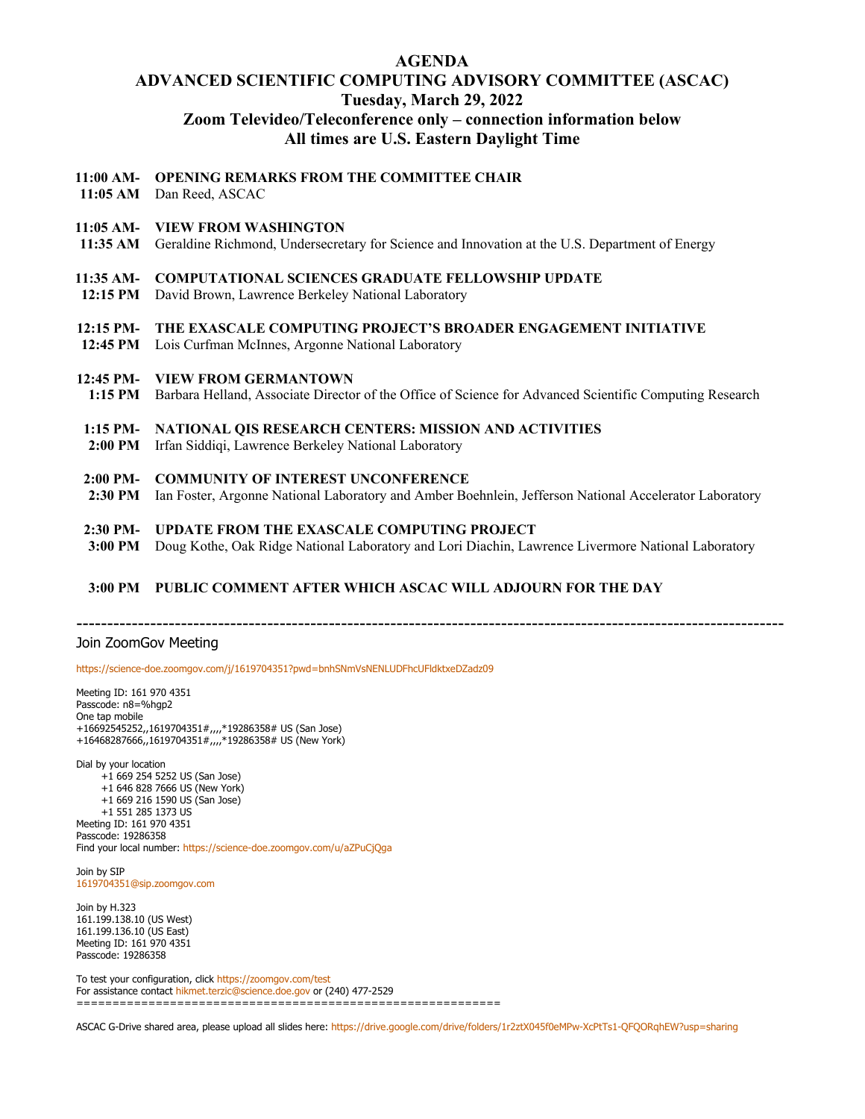# **AGENDA ADVANCED SCIENTIFIC COMPUTING ADVISORY COMMITTEE (ASCAC) Tuesday, March 29, 2022 Zoom Televideo/Teleconference only – connection information below All times are U.S. Eastern Daylight Time**

# **11:00 AM-OPENING REMARKS FROM THE COMMITTEE CHAIR**

**11:05 AM** Dan Reed, ASCAC

#### **11:05 AM-VIEW FROM WASHINGTON**

**11:35 AM** Geraldine Richmond, Undersecretary for Science and Innovation at the U.S. Department of Energy

## **11:35 AM-COMPUTATIONAL SCIENCES GRADUATE FELLOWSHIP UPDATE**

**12:15 PM** David Brown, Lawrence Berkeley National Laboratory

# **12:15 PM-THE EXASCALE COMPUTING PROJECT'S BROADER ENGAGEMENT INITIATIVE**

**12:45 PM** Lois Curfman McInnes, Argonne National Laboratory

## **12:45 PM-VIEW FROM GERMANTOWN**

**1:15 PM** Barbara Helland, Associate Director of the Office of Science for Advanced Scientific Computing Research

# **1:15 PM-NATIONAL QIS RESEARCH CENTERS: MISSION AND ACTIVITIES**

**2:00 PM** Irfan Siddiqi, Lawrence Berkeley National Laboratory

#### **2:00 PM-COMMUNITY OF INTEREST UNCONFERENCE**

**2:30 PM** Ian Foster, Argonne National Laboratory and Amber Boehnlein, Jefferson National Accelerator Laboratory

## **2:30 PM-UPDATE FROM THE EXASCALE COMPUTING PROJECT**

**3:00 PM** Doug Kothe, Oak Ridge National Laboratory and Lori Diachin, Lawrence Livermore National Laboratory

#### **3:00 PM PUBLIC COMMENT AFTER WHICH ASCAC WILL ADJOURN FOR THE DAY**

-------------------------------------------------------------------------------------------------------------------

#### Join ZoomGov Meeting

<https://science-doe.zoomgov.com/j/1619704351?pwd=bnhSNmVsNENLUDFhcUFldktxeDZadz09>

Meeting ID: 161 970 4351 Passcode: n8=%hgp2 One tap mobile +16692545252,,1619704351#,,,,\*19286358# US (San Jose) +16468287666,,1619704351#,,,,\*19286358# US (New York)

Dial by your location +1 669 254 5252 US (San Jose) +1 646 828 7666 US (New York) +1 669 216 1590 US (San Jose) +1 551 285 1373 US Meeting ID: 161 970 4351 Passcode: 19286358 Find your local number[: https://science-doe.zoomgov.com/u/aZPuCjQga](https://science-doe.zoomgov.com/u/aZPuCjQga)

Join by SIP [1619704351@sip.zoomgov.com](mailto:1619704351@sip.zoomgov.com)

Join by H.323 161.199.138.10 (US West) 161.199.136.10 (US East) Meeting ID: 161 970 4351 Passcode: 19286358

To test your configuration, clic[k https://zoomgov.com/test](https://zoomgov.com/test) For assistance contac[t hikmet.terzic@science.doe.gov](mailto:hikmet.terzic@science.doe.gov) or (240) 477-2529 ===========================================================

ASCAC G-Drive shared area, please upload all slides here[: https://drive.google.com/drive/folders/1r2ztX045f0eMPw-XcPtTs1-QFQORqhEW?usp=sharing](https://drive.google.com/drive/folders/1r2ztX045f0eMPw-XcPtTs1-QFQORqhEW?usp=sharing)